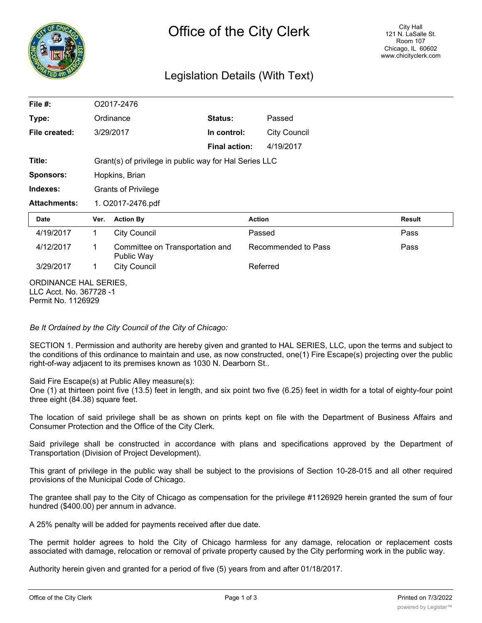

## Legislation Details (With Text)

| File #:                                                                |      | O2017-2476                                             |                      |                     |        |  |
|------------------------------------------------------------------------|------|--------------------------------------------------------|----------------------|---------------------|--------|--|
| Type:                                                                  |      | Ordinance                                              | Status:              | Passed              |        |  |
| File created:                                                          |      | 3/29/2017                                              | In control:          | <b>City Council</b> |        |  |
|                                                                        |      |                                                        | <b>Final action:</b> | 4/19/2017           |        |  |
| Title:                                                                 |      | Grant(s) of privilege in public way for Hal Series LLC |                      |                     |        |  |
| <b>Sponsors:</b>                                                       |      | Hopkins, Brian                                         |                      |                     |        |  |
| Indexes:                                                               |      | <b>Grants of Privilege</b>                             |                      |                     |        |  |
| <b>Attachments:</b>                                                    |      | 1. O2017-2476.pdf                                      |                      |                     |        |  |
| <b>Date</b>                                                            | Ver. | <b>Action By</b>                                       |                      | <b>Action</b>       | Result |  |
| 4/19/2017                                                              | 1.   | <b>City Council</b>                                    |                      | Passed              | Pass   |  |
| 4/12/2017                                                              | 1    | Committee on Transportation and<br>Public Way          |                      | Recommended to Pass | Pass   |  |
| 3/29/2017                                                              | 1.   | <b>City Council</b>                                    |                      | Referred            |        |  |
| ORDINANCE HAL SERIES,<br>LLC Acct. No. 367728 -1<br>Permit No. 1126929 |      |                                                        |                      |                     |        |  |

*Be It Ordained by the City Council of the City of Chicago:*

SECTION 1. Permission and authority are hereby given and granted to HAL SERIES, LLC, upon the terms and subject to the conditions of this ordinance to maintain and use, as now constructed, one(1) Fire Escape(s) projecting over the public right-of-way adjacent to its premises known as 1030 N. Dearborn St..

Said Fire Escape(s) at Public Alley measure(s):

One (1) at thirteen point five (13.5) feet in length, and six point two five (6.25) feet in width for a total of eighty-four point three eight (84.38) square feet.

The location of said privilege shall be as shown on prints kept on file with the Department of Business Affairs and Consumer Protection and the Office of the City Clerk.

Said privilege shall be constructed in accordance with plans and specifications approved by the Department of Transportation (Division of Project Development).

This grant of privilege in the public way shall be subject to the provisions of Section 10-28-015 and all other required provisions of the Municipal Code of Chicago.

The grantee shall pay to the City of Chicago as compensation for the privilege #1126929 herein granted the sum of four hundred (\$400.00) per annum in advance.

A 25% penalty will be added for payments received after due date.

The permit holder agrees to hold the City of Chicago harmless for any damage, relocation or replacement costs associated with damage, relocation or removal of private property caused by the City performing work in the public way.

Authority herein given and granted for a period of five (5) years from and after 01/18/2017.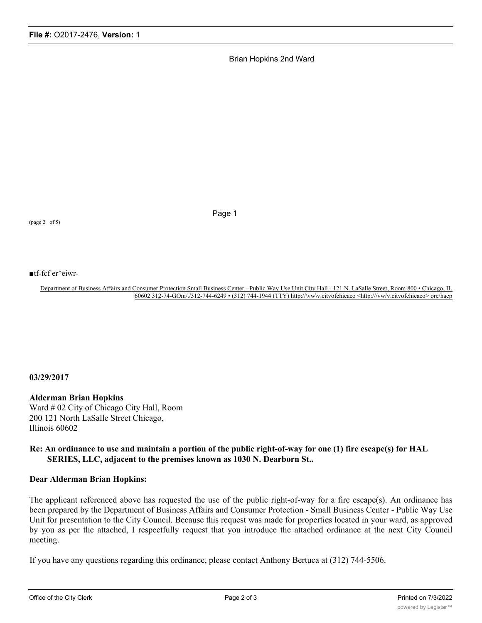Brian Hopkins 2nd Ward

(page 2 of 5)

Page 1

■tf-fcf er^eiwr-

Department of Business Affairs and Consumer Protection Small Business Center - Public Way Use Unit City Hall - 121 N. LaSalle Street, Room 800 • Chicago, IL 60602 312-74-GOm/./312-744-6249 • (312) 744-1944 (TTY) http://\vw\v.citvofchicaeo <http:///vw/v.citvofchicaeo> ore/hacp

**03/29/2017**

## **Alderman Brian Hopkins**

Ward # 02 City of Chicago City Hall, Room 200 121 North LaSalle Street Chicago, Illinois 60602

## **Re: An ordinance to use and maintain a portion of the public right-of-way for one (1) fire escape(s) for HAL SERIES, LLC, adjacent to the premises known as 1030 N. Dearborn St..**

## **Dear Alderman Brian Hopkins:**

The applicant referenced above has requested the use of the public right-of-way for a fire escape(s). An ordinance has been prepared by the Department of Business Affairs and Consumer Protection - Small Business Center - Public Way Use Unit for presentation to the City Council. Because this request was made for properties located in your ward, as approved by you as per the attached, I respectfully request that you introduce the attached ordinance at the next City Council meeting.

If you have any questions regarding this ordinance, please contact Anthony Bertuca at (312) 744-5506.